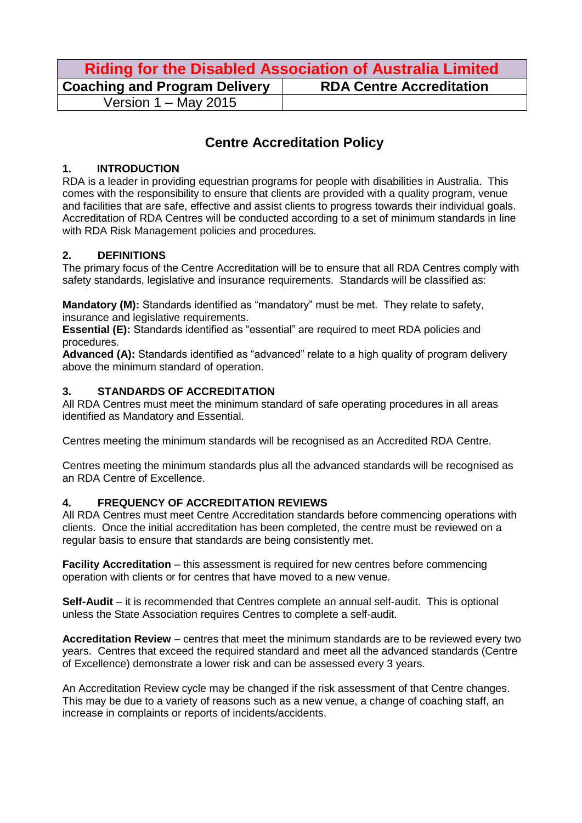| <b>Riding for the Disabled Association of Australia Limited</b> |                                 |  |
|-----------------------------------------------------------------|---------------------------------|--|
| <b>Coaching and Program Delivery</b>                            | <b>RDA Centre Accreditation</b> |  |
| Version $1 -$ May 2015                                          |                                 |  |

# **Centre Accreditation Policy**

#### **1. INTRODUCTION**

RDA is a leader in providing equestrian programs for people with disabilities in Australia. This comes with the responsibility to ensure that clients are provided with a quality program, venue and facilities that are safe, effective and assist clients to progress towards their individual goals. Accreditation of RDA Centres will be conducted according to a set of minimum standards in line with RDA Risk Management policies and procedures.

### **2. DEFINITIONS**

The primary focus of the Centre Accreditation will be to ensure that all RDA Centres comply with safety standards, legislative and insurance requirements. Standards will be classified as:

**Mandatory (M):** Standards identified as "mandatory" must be met. They relate to safety, insurance and legislative requirements.

**Essential (E):** Standards identified as "essential" are required to meet RDA policies and procedures.

**Advanced (A):** Standards identified as "advanced" relate to a high quality of program delivery above the minimum standard of operation.

### **3. STANDARDS OF ACCREDITATION**

All RDA Centres must meet the minimum standard of safe operating procedures in all areas identified as Mandatory and Essential.

Centres meeting the minimum standards will be recognised as an Accredited RDA Centre.

Centres meeting the minimum standards plus all the advanced standards will be recognised as an RDA Centre of Excellence.

#### **4. FREQUENCY OF ACCREDITATION REVIEWS**

All RDA Centres must meet Centre Accreditation standards before commencing operations with clients. Once the initial accreditation has been completed, the centre must be reviewed on a regular basis to ensure that standards are being consistently met.

**Facility Accreditation** – this assessment is required for new centres before commencing operation with clients or for centres that have moved to a new venue.

**Self-Audit** – it is recommended that Centres complete an annual self-audit. This is optional unless the State Association requires Centres to complete a self-audit.

**Accreditation Review** – centres that meet the minimum standards are to be reviewed every two years. Centres that exceed the required standard and meet all the advanced standards (Centre of Excellence) demonstrate a lower risk and can be assessed every 3 years.

An Accreditation Review cycle may be changed if the risk assessment of that Centre changes. This may be due to a variety of reasons such as a new venue, a change of coaching staff, an increase in complaints or reports of incidents/accidents.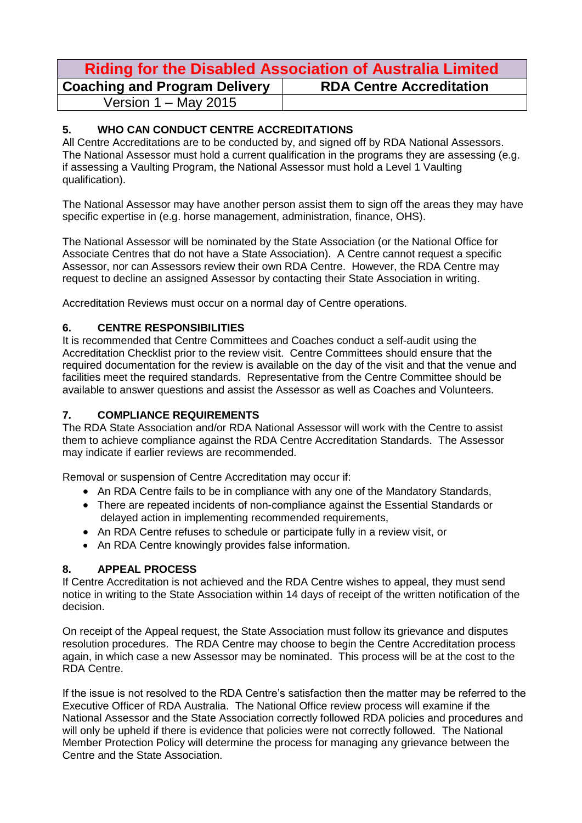## **Riding for the Disabled Association of Australia Limited Coaching and Program Delivery RDA Centre Accreditation** Version 1 – May 2015

#### **5. WHO CAN CONDUCT CENTRE ACCREDITATIONS**

All Centre Accreditations are to be conducted by, and signed off by RDA National Assessors. The National Assessor must hold a current qualification in the programs they are assessing (e.g. if assessing a Vaulting Program, the National Assessor must hold a Level 1 Vaulting qualification).

The National Assessor may have another person assist them to sign off the areas they may have specific expertise in (e.g. horse management, administration, finance, OHS).

The National Assessor will be nominated by the State Association (or the National Office for Associate Centres that do not have a State Association). A Centre cannot request a specific Assessor, nor can Assessors review their own RDA Centre. However, the RDA Centre may request to decline an assigned Assessor by contacting their State Association in writing.

Accreditation Reviews must occur on a normal day of Centre operations.

#### **6. CENTRE RESPONSIBILITIES**

It is recommended that Centre Committees and Coaches conduct a self-audit using the Accreditation Checklist prior to the review visit. Centre Committees should ensure that the required documentation for the review is available on the day of the visit and that the venue and facilities meet the required standards. Representative from the Centre Committee should be available to answer questions and assist the Assessor as well as Coaches and Volunteers.

#### **7. COMPLIANCE REQUIREMENTS**

The RDA State Association and/or RDA National Assessor will work with the Centre to assist them to achieve compliance against the RDA Centre Accreditation Standards. The Assessor may indicate if earlier reviews are recommended.

Removal or suspension of Centre Accreditation may occur if:

- An RDA Centre fails to be in compliance with any one of the Mandatory Standards,
- There are repeated incidents of non-compliance against the Essential Standards or delayed action in implementing recommended requirements,
- An RDA Centre refuses to schedule or participate fully in a review visit, or
- An RDA Centre knowingly provides false information.

#### **8. APPEAL PROCESS**

If Centre Accreditation is not achieved and the RDA Centre wishes to appeal, they must send notice in writing to the State Association within 14 days of receipt of the written notification of the decision.

On receipt of the Appeal request, the State Association must follow its grievance and disputes resolution procedures. The RDA Centre may choose to begin the Centre Accreditation process again, in which case a new Assessor may be nominated. This process will be at the cost to the RDA Centre.

If the issue is not resolved to the RDA Centre's satisfaction then the matter may be referred to the Executive Officer of RDA Australia. The National Office review process will examine if the National Assessor and the State Association correctly followed RDA policies and procedures and will only be upheld if there is evidence that policies were not correctly followed. The National Member Protection Policy will determine the process for managing any grievance between the Centre and the State Association.